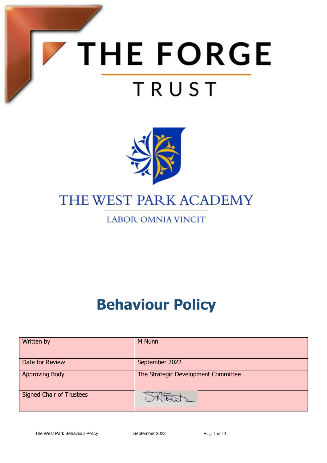



# THE WEST PARK ACADEMY

## **LABOR OMNIA VINCIT**

# **Behaviour Policy**

| Written by                      | M Nunn                              |
|---------------------------------|-------------------------------------|
| Date for Review                 | September 2022                      |
| <b>Approving Body</b>           | The Strategic Development Committee |
| <b>Signed Chair of Trustees</b> |                                     |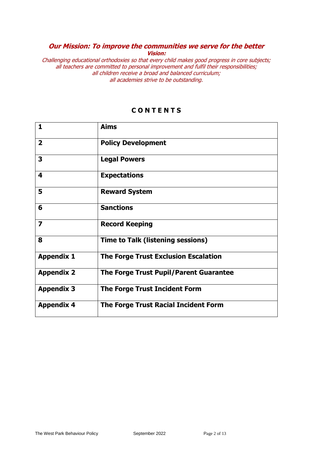#### **Our Mission: To improve the communities we serve for the better Vision:**

Challenging educational orthodoxies so that every child makes good progress in core subjects; all teachers are committed to personal improvement and fulfil their responsibilities; all children receive a broad and balanced curriculum; all academies strive to be outstanding.

| 1                       | <b>Aims</b>                                 |
|-------------------------|---------------------------------------------|
| $\overline{2}$          | <b>Policy Development</b>                   |
| 3                       | <b>Legal Powers</b>                         |
| 4                       | <b>Expectations</b>                         |
| 5                       | <b>Reward System</b>                        |
| 6                       | <b>Sanctions</b>                            |
| $\overline{\mathbf{z}}$ | <b>Record Keeping</b>                       |
| 8                       | <b>Time to Talk (listening sessions)</b>    |
| <b>Appendix 1</b>       | <b>The Forge Trust Exclusion Escalation</b> |
| <b>Appendix 2</b>       | The Forge Trust Pupil/Parent Guarantee      |
| <b>Appendix 3</b>       | <b>The Forge Trust Incident Form</b>        |
| <b>Appendix 4</b>       | <b>The Forge Trust Racial Incident Form</b> |

#### **C O N T E N T S**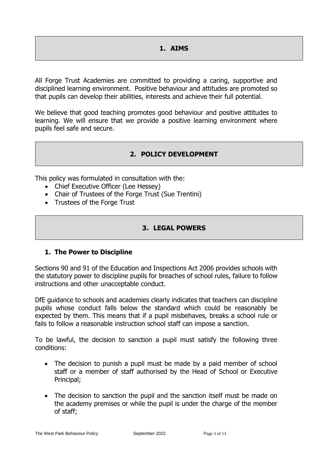#### **1. AIMS**

All Forge Trust Academies are committed to providing a caring, supportive and disciplined learning environment. Positive behaviour and attitudes are promoted so that pupils can develop their abilities, interests and achieve their full potential.

We believe that good teaching promotes good behaviour and positive attitudes to learning. We will ensure that we provide a positive learning environment where pupils feel safe and secure.

#### **2. POLICY DEVELOPMENT**

This policy was formulated in consultation with the:

- Chief Executive Officer (Lee Hessey)
- Chair of Trustees of the Forge Trust (Sue Trentini)
- Trustees of the Forge Trust

#### **3. LEGAL POWERS**

#### **1. The Power to Discipline**

Sections 90 and 91 of the Education and Inspections Act 2006 provides schools with the statutory power to discipline pupils for breaches of school rules, failure to follow instructions and other unacceptable conduct.

DfE guidance to schools and academies clearly indicates that teachers can discipline pupils whose conduct falls below the standard which could be reasonably be expected by them. This means that if a pupil misbehaves, breaks a school rule or fails to follow a reasonable instruction school staff can impose a sanction.

To be lawful, the decision to sanction a pupil must satisfy the following three conditions:

- The decision to punish a pupil must be made by a paid member of school staff or a member of staff authorised by the Head of School or Executive Principal;
- The decision to sanction the pupil and the sanction itself must be made on the academy premises or while the pupil is under the charge of the member of staff;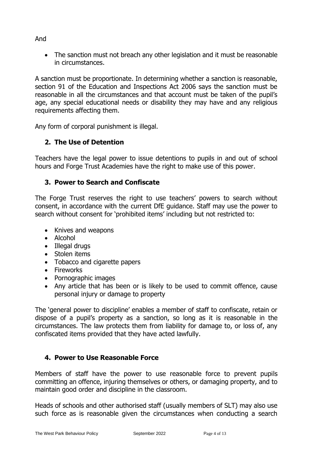• The sanction must not breach any other legislation and it must be reasonable in circumstances.

A sanction must be proportionate. In determining whether a sanction is reasonable, section 91 of the Education and Inspections Act 2006 says the sanction must be reasonable in all the circumstances and that account must be taken of the pupil's age, any special educational needs or disability they may have and any religious requirements affecting them.

Any form of corporal punishment is illegal.

#### **2. The Use of Detention**

Teachers have the legal power to issue detentions to pupils in and out of school hours and Forge Trust Academies have the right to make use of this power.

#### **3. Power to Search and Confiscate**

The Forge Trust reserves the right to use teachers' powers to search without consent, in accordance with the current DfE guidance. Staff may use the power to search without consent for 'prohibited items' including but not restricted to:

- Knives and weapons
- Alcohol
- Illegal drugs
- Stolen items
- Tobacco and cigarette papers
- Fireworks
- Pornographic images
- Any article that has been or is likely to be used to commit offence, cause personal injury or damage to property

The 'general power to discipline' enables a member of staff to confiscate, retain or dispose of a pupil's property as a sanction, so long as it is reasonable in the circumstances. The law protects them from liability for damage to, or loss of, any confiscated items provided that they have acted lawfully.

#### **4. Power to Use Reasonable Force**

Members of staff have the power to use reasonable force to prevent pupils committing an offence, injuring themselves or others, or damaging property, and to maintain good order and discipline in the classroom.

Heads of schools and other authorised staff (usually members of SLT) may also use such force as is reasonable given the circumstances when conducting a search

And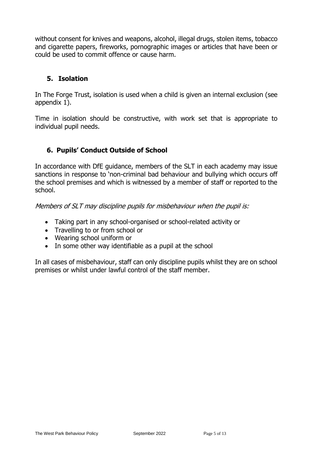without consent for knives and weapons, alcohol, illegal drugs, stolen items, tobacco and cigarette papers, fireworks, pornographic images or articles that have been or could be used to commit offence or cause harm.

#### **5. Isolation**

In The Forge Trust, isolation is used when a child is given an internal exclusion (see appendix 1).

Time in isolation should be constructive, with work set that is appropriate to individual pupil needs.

#### **6. Pupils' Conduct Outside of School**

In accordance with DfE guidance, members of the SLT in each academy may issue sanctions in response to 'non-criminal bad behaviour and bullying which occurs off the school premises and which is witnessed by a member of staff or reported to the school.

Members of SLT may discipline pupils for misbehaviour when the pupil is:

- Taking part in any school-organised or school-related activity or
- Travelling to or from school or
- Wearing school uniform or
- In some other way identifiable as a pupil at the school

In all cases of misbehaviour, staff can only discipline pupils whilst they are on school premises or whilst under lawful control of the staff member.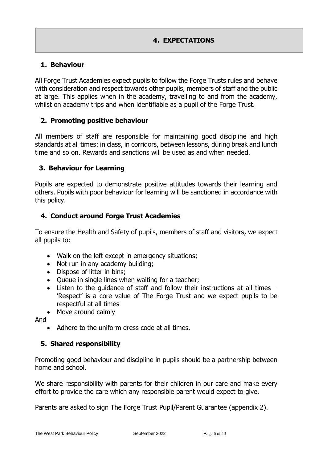#### **4. EXPECTATIONS**

#### **1. Behaviour**

All Forge Trust Academies expect pupils to follow the Forge Trusts rules and behave with consideration and respect towards other pupils, members of staff and the public at large. This applies when in the academy, travelling to and from the academy, whilst on academy trips and when identifiable as a pupil of the Forge Trust.

#### **2. Promoting positive behaviour**

All members of staff are responsible for maintaining good discipline and high standards at all times: in class, in corridors, between lessons, during break and lunch time and so on. Rewards and sanctions will be used as and when needed.

#### **3. Behaviour for Learning**

Pupils are expected to demonstrate positive attitudes towards their learning and others. Pupils with poor behaviour for learning will be sanctioned in accordance with this policy.

#### **4. Conduct around Forge Trust Academies**

To ensure the Health and Safety of pupils, members of staff and visitors, we expect all pupils to:

- Walk on the left except in emergency situations;
- Not run in any academy building;
- Dispose of litter in bins;
- Queue in single lines when waiting for a teacher;
- Listen to the guidance of staff and follow their instructions at all times 'Respect' is a core value of The Forge Trust and we expect pupils to be respectful at all times
- Move around calmlv

And

• Adhere to the uniform dress code at all times.

#### **5. Shared responsibility**

Promoting good behaviour and discipline in pupils should be a partnership between home and school.

We share responsibility with parents for their children in our care and make every effort to provide the care which any responsible parent would expect to give.

Parents are asked to sign The Forge Trust Pupil/Parent Guarantee (appendix 2).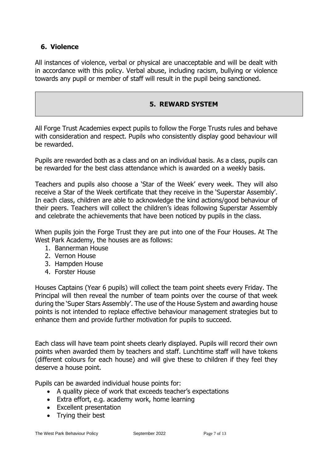#### **6. Violence**

All instances of violence, verbal or physical are unacceptable and will be dealt with in accordance with this policy. Verbal abuse, including racism, bullying or violence towards any pupil or member of staff will result in the pupil being sanctioned.

#### **5. REWARD SYSTEM**

All Forge Trust Academies expect pupils to follow the Forge Trusts rules and behave with consideration and respect. Pupils who consistently display good behaviour will be rewarded.

Pupils are rewarded both as a class and on an individual basis. As a class, pupils can be rewarded for the best class attendance which is awarded on a weekly basis.

Teachers and pupils also choose a 'Star of the Week' every week. They will also receive a Star of the Week certificate that they receive in the 'Superstar Assembly'. In each class, children are able to acknowledge the kind actions/good behaviour of their peers. Teachers will collect the children's ideas following Superstar Assembly and celebrate the achievements that have been noticed by pupils in the class.

When pupils join the Forge Trust they are put into one of the Four Houses. At The West Park Academy, the houses are as follows:

- 1. Bannerman House
- 2. Vernon House
- 3. Hampden House
- 4. Forster House

Houses Captains (Year 6 pupils) will collect the team point sheets every Friday. The Principal will then reveal the number of team points over the course of that week during the 'Super Stars Assembly'. The use of the House System and awarding house points is not intended to replace effective behaviour management strategies but to enhance them and provide further motivation for pupils to succeed.

Each class will have team point sheets clearly displayed. Pupils will record their own points when awarded them by teachers and staff. Lunchtime staff will have tokens (different colours for each house) and will give these to children if they feel they deserve a house point.

Pupils can be awarded individual house points for:

- A quality piece of work that exceeds teacher's expectations
- Extra effort, e.g. academy work, home learning
- Excellent presentation
- Trying their best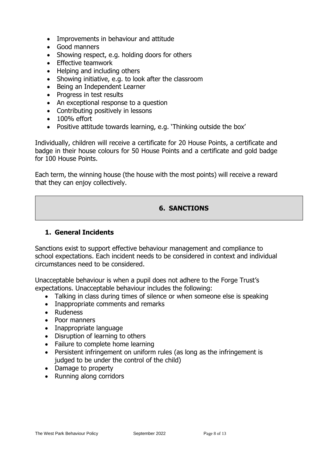- Improvements in behaviour and attitude
- Good manners
- Showing respect, e.g. holding doors for others
- Effective teamwork
- Helping and including others
- Showing initiative, e.g. to look after the classroom
- Being an Independent Learner
- Progress in test results
- An exceptional response to a question
- Contributing positively in lessons
- 100% effort
- Positive attitude towards learning, e.g. 'Thinking outside the box'

Individually, children will receive a certificate for 20 House Points, a certificate and badge in their house colours for 50 House Points and a certificate and gold badge for 100 House Points.

Each term, the winning house (the house with the most points) will receive a reward that they can enjoy collectively.

#### **6. SANCTIONS**

#### **1. General Incidents**

Sanctions exist to support effective behaviour management and compliance to school expectations. Each incident needs to be considered in context and individual circumstances need to be considered.

Unacceptable behaviour is when a pupil does not adhere to the Forge Trust's expectations. Unacceptable behaviour includes the following:

- Talking in class during times of silence or when someone else is speaking
- Inappropriate comments and remarks
- Rudeness
- Poor manners
- Inappropriate language
- Disruption of learning to others
- Failure to complete home learning
- Persistent infringement on uniform rules (as long as the infringement is judged to be under the control of the child)
- Damage to property
- Running along corridors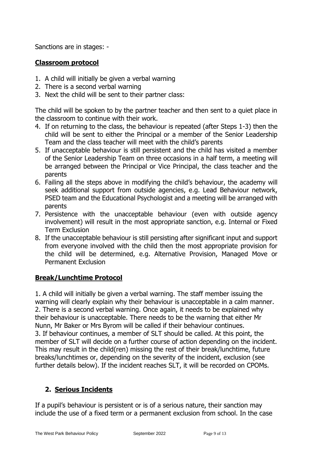Sanctions are in stages: -

#### **Classroom protocol**

- 1. A child will initially be given a verbal warning
- 2. There is a second verbal warning
- 3. Next the child will be sent to their partner class:

The child will be spoken to by the partner teacher and then sent to a quiet place in the classroom to continue with their work.

- 4. If on returning to the class, the behaviour is repeated (after Steps 1-3) then the child will be sent to either the Principal or a member of the Senior Leadership Team and the class teacher will meet with the child's parents
- 5. If unacceptable behaviour is still persistent and the child has visited a member of the Senior Leadership Team on three occasions in a half term, a meeting will be arranged between the Principal or Vice Principal, the class teacher and the parents
- 6. Failing all the steps above in modifying the child's behaviour, the academy will seek additional support from outside agencies, e.g. Lead Behaviour network, PSED team and the Educational Psychologist and a meeting will be arranged with parents
- 7. Persistence with the unacceptable behaviour (even with outside agency involvement) will result in the most appropriate sanction, e.g. Internal or Fixed Term Exclusion
- 8. If the unacceptable behaviour is still persisting after significant input and support from everyone involved with the child then the most appropriate provision for the child will be determined, e.g. Alternative Provision, Managed Move or Permanent Exclusion

#### **Break/Lunchtime Protocol**

1. A child will initially be given a verbal warning. The staff member issuing the warning will clearly explain why their behaviour is unacceptable in a calm manner. 2. There is a second verbal warning. Once again, it needs to be explained why their behaviour is unacceptable. There needs to be the warning that either Mr Nunn, Mr Baker or Mrs Byrom will be called if their behaviour continues. 3. If behaviour continues, a member of SLT should be called. At this point, the member of SLT will decide on a further course of action depending on the incident. This may result in the child(ren) missing the rest of their break/lunchtime, future breaks/lunchtimes or, depending on the severity of the incident, exclusion (see further details below). If the incident reaches SLT, it will be recorded on CPOMs.

#### **2. Serious Incidents**

If a pupil's behaviour is persistent or is of a serious nature, their sanction may include the use of a fixed term or a permanent exclusion from school. In the case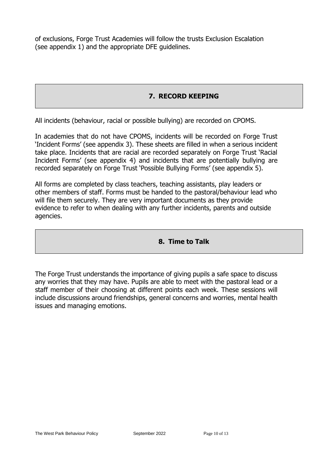of exclusions, Forge Trust Academies will follow the trusts Exclusion Escalation (see appendix 1) and the appropriate DFE guidelines.

#### **7. RECORD KEEPING**

All incidents (behaviour, racial or possible bullying) are recorded on CPOMS.

In academies that do not have CPOMS, incidents will be recorded on Forge Trust 'Incident Forms' (see appendix 3). These sheets are filled in when a serious incident take place. Incidents that are racial are recorded separately on Forge Trust 'Racial Incident Forms' (see appendix 4) and incidents that are potentially bullying are recorded separately on Forge Trust 'Possible Bullying Forms' (see appendix 5).

All forms are completed by class teachers, teaching assistants, play leaders or other members of staff. Forms must be handed to the pastoral/behaviour lead who will file them securely. They are very important documents as they provide evidence to refer to when dealing with any further incidents, parents and outside agencies.

#### **8. Time to Talk**

The Forge Trust understands the importance of giving pupils a safe space to discuss any worries that they may have. Pupils are able to meet with the pastoral lead or a staff member of their choosing at different points each week. These sessions will include discussions around friendships, general concerns and worries, mental health issues and managing emotions.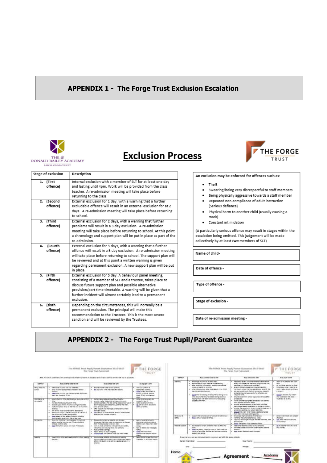#### **APPENDIX 1 - The Forge Trust Exclusion Escalation**



# **Exclusion Process**



| Stage of exclusion        | Description                                                                                                                                                                                                                                                                                                                                     |
|---------------------------|-------------------------------------------------------------------------------------------------------------------------------------------------------------------------------------------------------------------------------------------------------------------------------------------------------------------------------------------------|
| (First<br>1.<br>offence)  | Internal exclusion with a member of SLT for at least one day<br>and lasting until 4pm. Work will be provided from the class                                                                                                                                                                                                                     |
|                           | teacher. A re-admission meeting will take place before<br>returning to the class.                                                                                                                                                                                                                                                               |
| (Second<br>z.<br>offence) | External exclusion for 1 day, with a warning that a further<br>excludable offence will result in an external exclusion for at 2<br>days. A re-admission meeting will take place before returning<br>to school.                                                                                                                                  |
| (Third<br>3.<br>offence)  | External exclusion for 2 days, with a warning that further<br>problems will result in a 3 day exclusion. A re-admission<br>meeting will take place before returning to school. At this point<br>a chronology and support plan will be put in place as part of the<br>re-admission.                                                              |
| (Fourth<br>4.<br>offence) | External exclusion for 3 days, with a warning that a further<br>offence will result in a 5 day exclusion. A re-admission meeting<br>will take place before returning to school. The support plan will<br>be reviewed and at this point a written warning is given<br>regarding permanent exclusion. A new support plan will be put<br>in place. |
| (Fifth<br>5.<br>offence)  | External exclusion for 5 day. A behaviour panel meeting,<br>consisting of a member of SLT and a trustee, takes place to<br>discuss future support plan and possible alternative<br>provision/part time timetable. A warning will be given that a<br>further incident will almost certainly lead to a permanent<br>exclusion.                    |
| (sixth<br>6.<br>offence)  | Depending on the circumstances, this will normally be a<br>permanent exclusion. The principal will make this<br>recommendation to the Trustees. This is the most severe<br>sanction and will be reviewed by the Trustees.                                                                                                                       |

An exclusion may be enforced for offences such as:

 $\bullet$  Theft

- · Swearing/being very disrespectful to staff members
- . Being physically aggressive towards a staff member
- . Repeated non-compliance of adult instruction (Serious defiance)
- . Physical harm to another child (usually causing a mark)
- $\ddot{\phantom{0}}$ Constant intimidation

(A particularly serious offence may result in stages within the escalation being omitted. This judgement will be made collectively by at least two members of SLT)

Name of child-

Date of offence -

Type of offence -

Stage of exclusion -

Date of re-admission meeting -

#### **APPENDIX 2 - The Forge Trust Pupil/Parent Guarantee**

|                                                                                                                                                                                                                                                                                                                        | The Filmial Treet Pupil/Parent Guariades 2016-2017                                                                                                                                                                                                                                                                                                                                            | <b>HE FORGE</b><br>TRUST                                                                                                                                                                                                   |                                                                                                                                                                                             |                                                                                                                                                                                                                                                                                                                                                                                              | the expression of the cycle of the control of the control and the<br>The FORGE Trust Pupil/Parrott Guarantee 2016-2017                                                                                                                                                                                                                                                                                                                            | HE FORGE<br>TRUST                                                                                                                                                                                                                                                                          |
|------------------------------------------------------------------------------------------------------------------------------------------------------------------------------------------------------------------------------------------------------------------------------------------------------------------------|-----------------------------------------------------------------------------------------------------------------------------------------------------------------------------------------------------------------------------------------------------------------------------------------------------------------------------------------------------------------------------------------------|----------------------------------------------------------------------------------------------------------------------------------------------------------------------------------------------------------------------------|---------------------------------------------------------------------------------------------------------------------------------------------------------------------------------------------|----------------------------------------------------------------------------------------------------------------------------------------------------------------------------------------------------------------------------------------------------------------------------------------------------------------------------------------------------------------------------------------------|---------------------------------------------------------------------------------------------------------------------------------------------------------------------------------------------------------------------------------------------------------------------------------------------------------------------------------------------------------------------------------------------------------------------------------------------------|--------------------------------------------------------------------------------------------------------------------------------------------------------------------------------------------------------------------------------------------------------------------------------------------|
|                                                                                                                                                                                                                                                                                                                        |                                                                                                                                                                                                                                                                                                                                                                                               |                                                                                                                                                                                                                            | <b>THEFT</b>                                                                                                                                                                                | As a parent, up at 1 will                                                                                                                                                                                                                                                                                                                                                                    | his a allowed not sell.                                                                                                                                                                                                                                                                                                                                                                                                                           | As a papel 1 will                                                                                                                                                                                                                                                                          |
| <b>ALL CANNIESTERS TWIR</b>                                                                                                                                                                                                                                                                                            | At a school art will                                                                                                                                                                                                                                                                                                                                                                          | At a paper I will                                                                                                                                                                                                          | <b>Learning</b>                                                                                                                                                                             | I WILLIAM TO 1974 IS BY THE TABLE<br>around their my philo poes am home warring.<br>after reviewing information; account and mention<br>completed tracket at the cross<br>4 HINRY OCCORDINATION AND THE ENGINEERING WAS CITED TO<br><b>Herning and detectioners</b><br>custom longer for insuring that deticationed, instance to may<br>office about urbat they nave been doing at solicity. | PROGRESS VIOLATIC CLA MOVINGERING IN IMAGIN FORD<br>ment photographes the macintarily private at their case.<br>santagers in Select and Autobiotic<br>you at choose allocate a creat and exciting<br>CURRICULARS WARREN TABLES \$400 \$450,000 panis FS/ (PR).<br>uni appropriate unit; that citize meried regulariti<br>and site interest of objects assessed to be<br>Incorporate Street<br>whoch magazine in servoy is point as call as adver- | lightly by the time after your country<br><b>CALL</b><br>We not have reasoning an lines.<br>$\sim$<br># . Brothe articula collect 1 coatch for do-<br>which I reduct protect, and travel<br><b>A WHEAT</b><br><b>BELOW AS ANYWHERE WE WINNER</b><br>$\cdots$<br>and unawalarid the steps 1 |
| mans sure my strip has had breathed.<br>send for child appropriately measure in arrows<br>AMMARK!<br>Seek sure my trillet has the secretaries declared<br>years sec, including PE ad.                                                                                                                                  | . Elseld children case school products:<br>MAILER 2702 WHICH WAS CARE for resisting<br>$\sim$<br>00000000000000000000                                                                                                                                                                                                                                                                         | the or soluti L<br>soongripp comme:<br>GONE COTACT AGUSTINATE SE<br>artist, including reading<br>need. HE isn, representational.                                                                                           |                                                                                                                                                                                             |                                                                                                                                                                                                                                                                                                                                                                                              |                                                                                                                                                                                                                                                                                                                                                                                                                                                   |                                                                                                                                                                                                                                                                                            |
| Automat Anighty ouring term trival:<br>Milliard year ship is in survey during BaTs yees,<br>inside the pittual series on the find day of the pitture.<br><b>SOBARCE</b><br>any for his shares advice a time absolution.<br>ansura the child to conected promptly st the and dr<br>the private ago (where separateles). | terrent 2000 Wardship Vid Scribalist<br>provide a parts, rigidar and names excellentaria.<br>condecimentals a five day colleg procedure or use.<br>$\sim$<br>test independing service attends program that their<br>chief & hall at which.<br>THE KOOST AND CHARGE LEWISIONS AREA<br><b>WORK AND HALLER</b><br>the owent for unecreated week of unechorsed.<br>ASSESSE (IPS) TOURING RATIONAL | . Contacts survive widers day<br>production boy (c)<br>come to simply on time.<br>tat safe and truck assual the<br>additional collection                                                                                   |                                                                                                                                                                                             | Second their with their higher-the state greating.<br>technicity critic trave.                                                                                                                                                                                                                                                                                                               | <b>INSOLINE</b><br>idulary children's progress periodicator and baselets."<br>than somes perfound reads;<br>stressing sergence question for any strike one face.<br>being age reason equipment in director or mains.<br>provide the copyrights for an onlined to text dert in<br>who wished approved, and customer admention.<br>exact that every chip makes expected silverest<br>Fort that initialize welling panel.                            | Highly range to optimate                                                                                                                                                                                                                                                                   |
| Mark-Hallers for the artists of struck. Including<br>JANING (ARM) BHAY FOR 2H 2N 2NL THEL.<br>This is related to require 2 yet out<br>sitery control making and if I sented attend-                                                                                                                                    | Roundards Torrest at Selecte and architect<br>Printwidge (Fall 198) make a renjements to discuss                                                                                                                                                                                                                                                                                              | a Lat. A canara rates or<br>distance customer average drop                                                                                                                                                                 | later.                                                                                                                                                                                      | Teleph (2700) Tolled at at firms).                                                                                                                                                                                                                                                                                                                                                           | relativities the achievers between posted<br>requirement environment and contract the contract staff. If you<br>and present.                                                                                                                                                                                                                                                                                                                      | DESERT THE TIGHT AND AGREES<br>of strings.<br>land, after the actual wid for<br>synonings.                                                                                                                                                                                                 |
| send where from private and rack if receptors.                                                                                                                                                                                                                                                                         | 1. And it class partners to only parents and speed.<br>HAIGHFOLD and colluling views and customized<br>TOO CARRIER EVERYON<br>report bermit/ sin public tringmass<br>$\sim$<br>salesty country of the personal collect that make arrest.                                                                                                                                                      | <b>SEPAIL</b><br>GLASS AT MONO WID THREESES<br>home:<br>Siega the Hugh of the<br>nearth, hide that the adopt.                                                                                                              |                                                                                                                                                                                             | philar.<br>AREE PAYABAN, thaig the midd of the access to a<br>commit- of policides, findities and aeroless bestanding<br><b>MARKET AT A ARCHIM</b>                                                                                                                                                                                                                                           | THAT WAS THE REPORT TO BAY SURVEY.<br>inclines around to interfers & generate for passeng<br><b>WOODS</b><br>Leni, Lenini Tessisari doput sharqes.                                                                                                                                                                                                                                                                                                | ALC: NAME OF GROOM<br><b>BUILDING</b>                                                                                                                                                                                                                                                      |
| <b>Burney</b><br>-- - - - -                                                                                                                                                                                                                                                                                            | SUMMER HARRIN SINE HERT TO BY-2140197 FEED HARRIS<br>ather individuals or as part of a public choup; ++<br>mieren.<br>10.DZ                                                                                                                                                                                                                                                                   | Temp please to real Fort Turn<br>TRANSMITT, AT 1980 VARIES                                                                                                                                                                 |                                                                                                                                                                                             |                                                                                                                                                                                                                                                                                                                                                                                              | <b>TIME TRUTH:</b>                                                                                                                                                                                                                                                                                                                                                                                                                                |                                                                                                                                                                                                                                                                                            |
|                                                                                                                                                                                                                                                                                                                        | airengt snother com.                                                                                                                                                                                                                                                                                                                                                                          | The Rocar Trust Administrat<br>After the re-cent states area was the will be a<br>that's chuire progress have set user.<br>And a first strip read cases and fit is that vession in . And contained an excellent in leading | Also, To want in Sartherena with parents at that children is related an advantion that victimize them buttoned in the and be successful.<br>ABV.<br>use the cool that I have been<br>offen. | <b>Betterback</b>                                                                                                                                                                                                                                                                                                                                                                            | * Appart for schools and of sensed for principal.<br>NUMBER TO SERVE THE THE PARTICULAR PROPERTY OF THE TABLE OF<br><b>Burnet Farancicarer</b>                                                                                                                                                                                                                                                                                                    | The Forge Trust Advertural<br>monrage han dangers of permission<br>Source Print systems Drive Promotion Policy.<br>By approxy better was and point such base to make such we hully this above sittingly                                                                                    |